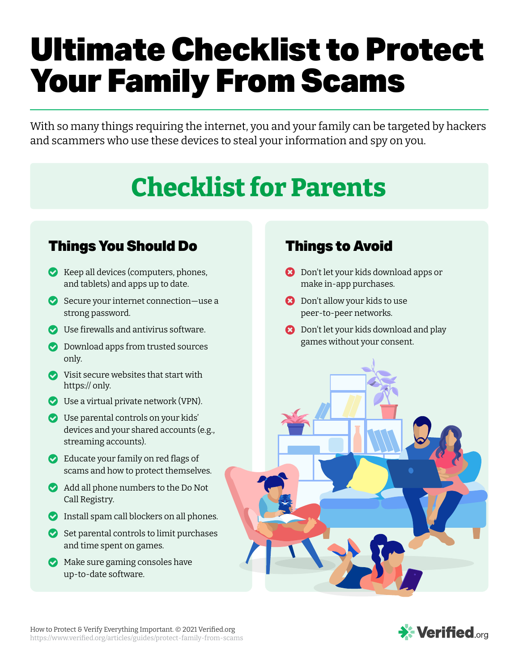# Ultimate Checklist to Protect Your Family From Scams

With so many things requiring the internet, you and your family can be targeted by hackers and scammers who use these devices to steal your information and spy on you.

# **Checklist for Parents**

## Things You Should Do

- **Keep all devices (computers, phones,** and tablets) and apps up to date.
- Secure your internet connection–use a strong password.
- **O** Use firewalls and antivirus software.
- **O** Download apps from trusted sources only.
- Visit secure websites that start with https:// only.
- Use a virtual private network (VPN).
- Use parental controls on your kids' devices and your shared accounts (e.g., streaming accounts).
- $\bullet$  Educate your family on red flags of scams and how to protect themselves.
- Add all phone numbers to the Do Not Call Registry.
- **Install spam call blockers on all phones.**
- Set parental controls to limit purchases and time spent on games.
- **Make sure gaming consoles have** up-to-date software.

## Things to Avoid

- **B** Don't let your kids download apps or make in-app purchases.
- **B** Don't allow your kids to use peer-to-peer networks.
- **B** Don't let your kids download and play games without your consent.